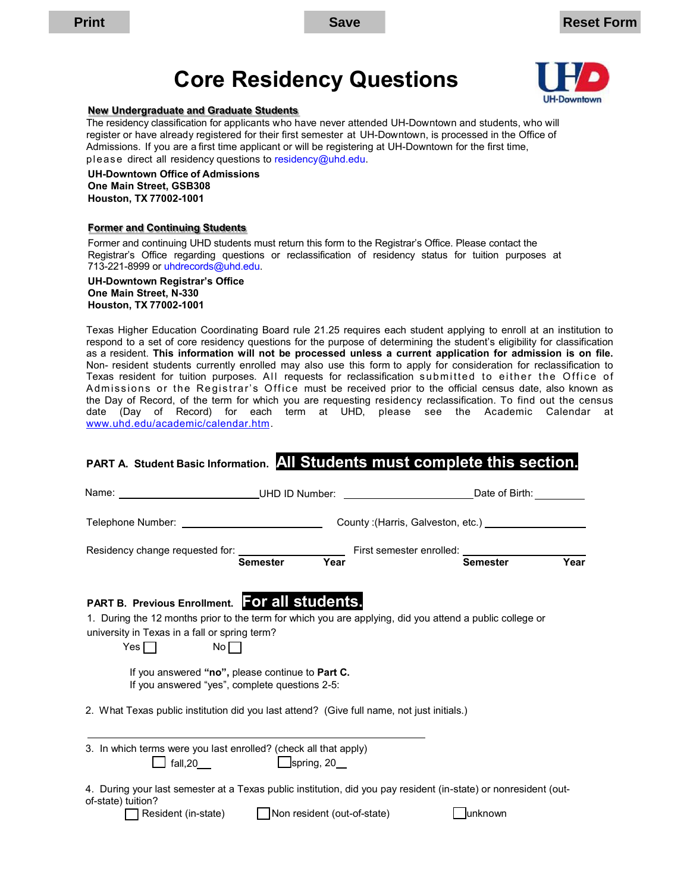# **Core Residency Questions**



#### **New Undergraduate and Graduate Students**

 The residency classification for applicants who have never attended UH-Downtown and students, who will register or have already registered for their first semester at UH-Downtown, is processed in the Office of Admissions. If you are a first time applicant or will be registering at UH-Downtown for the first time, p l ease direct all residency questions to residency@uhd.edu.

**UH-Downtown Office of Admissions One Main Street, GSB308 Houston, TX 77002-1001** 

#### **Former and Continuing Students**

 Registrar's Office regarding questions or reclassification of residency status for tuition purposes at Former and continuing UHD students must return this form to the Registrar's Office. Please contact the 713-221-8999 or [uhdrecords@uhd.edu.](mailto:uhdrecords@uhd.edu) 

**UH-Downtown Registrar's Office One Main Street, N-330 Houston, TX 77002-1001** 

 Texas Higher Education Coordinating Board rule 21.25 requires each student applying to enroll at an institution to respond to a set of core residency questions for the purpose of determining the student's eligibility for classification as a resident. **This information will not be processed unless a current application for admission is on file.**  Non- resident students currently enrolled may also use this form to apply for consideration for reclassification to Texas resident for tuition purposes. All requests for reclassification submitted to either the Office of Admissions or the Registrar's Office must be received prior to the official census date, also known as the Day of Record, of the term for which you are requesting residency reclassification. To find out the census date (Day of Record) for each term at UHD, please see the Academic Calendar at [www.uhd.edu/academic/calendar.htm.](http://www.uhd.edu/academic/calendar.htm)

### **PART A. Student Basic Information. All Students must complete this section.**

| Name:                                                                                                                                                                                                                                  | UHD ID Number:                                                                                     | Date of Birth:                       |      |
|----------------------------------------------------------------------------------------------------------------------------------------------------------------------------------------------------------------------------------------|----------------------------------------------------------------------------------------------------|--------------------------------------|------|
|                                                                                                                                                                                                                                        |                                                                                                    |                                      |      |
|                                                                                                                                                                                                                                        | Year<br><b>Semester</b>                                                                            | First semester enrolled:<br>Semester | Year |
| <b>PART B. Previous Enrollment. For all students.</b><br>1. During the 12 months prior to the term for which you are applying, did you attend a public college or<br>university in Texas in a fall or spring term?<br>No<br>Yes $\Box$ |                                                                                                    |                                      |      |
|                                                                                                                                                                                                                                        | If you answered "no", please continue to Part C.<br>If you answered "yes", complete questions 2-5: |                                      |      |
| 2. What Texas public institution did you last attend? (Give full name, not just initials.)                                                                                                                                             |                                                                                                    |                                      |      |
| 3. In which terms were you last enrolled? (check all that apply)<br>fall,20                                                                                                                                                            | $\Box$ spring, 20                                                                                  |                                      |      |
| 4. During your last semester at a Texas public institution, did you pay resident (in-state) or nonresident (out-<br>of-state) tuition?<br>Resident (in-state)                                                                          | Non resident (out-of-state)                                                                        | lunknown                             |      |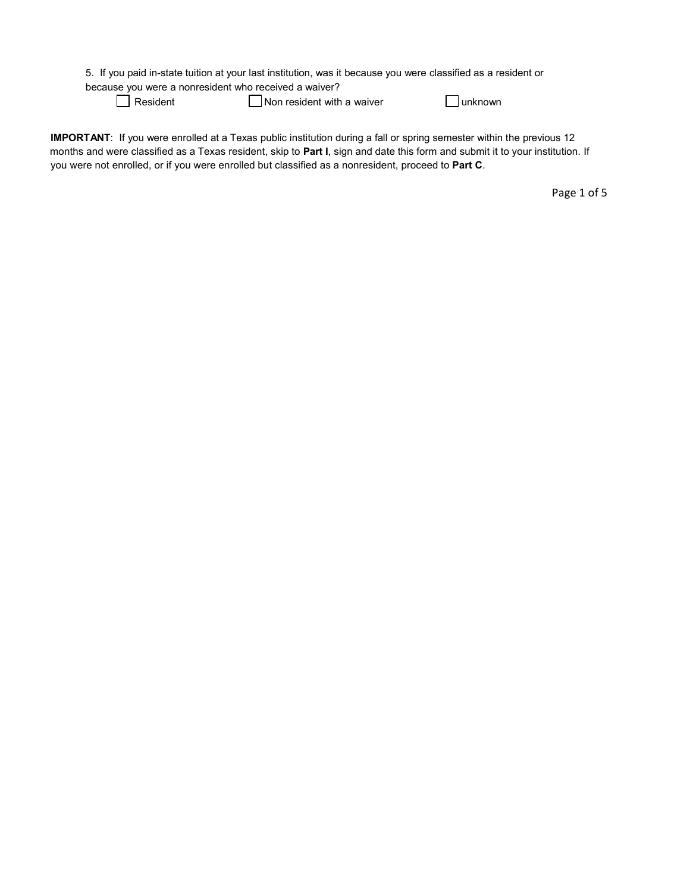|  |  |  |  | 5. If you paid in-state tuition at your last institution, was it because you were classified as a resident or |
|--|--|--|--|---------------------------------------------------------------------------------------------------------------|
|--|--|--|--|---------------------------------------------------------------------------------------------------------------|

because you were a nonresident who received a waiver?

Resident

 $\Box$  Non resident with a waiver  $\Box$  unknown

 **IMPORTANT**: If you were enrolled at a Texas public institution during a fall or spring semester within the previous 12 you were not enrolled, or if you were enrolled but classified as a nonresident, proceed to **Part C**. months and were classified as a Texas resident, skip to **Part I**, sign and date this form and submit it to your institution. If

Page 1 of 5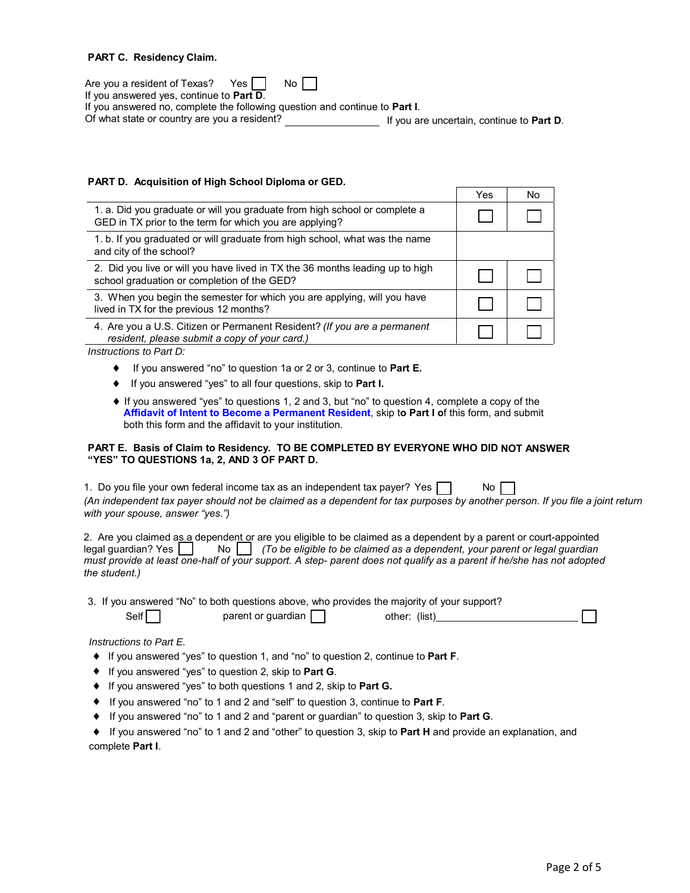#### **PART C. Residency Claim.**

| Are you a resident of Texas? Yes<br>No II                                           |                                                   |
|-------------------------------------------------------------------------------------|---------------------------------------------------|
| If you answered yes, continue to <b>Part D</b> .                                    |                                                   |
| If you answered no, complete the following question and continue to <b>Part I</b> . |                                                   |
| Of what state or country are you a resident?                                        | If you are uncertain, continue to <b>Part D</b> . |

### **PART D. Acquisition of High School Diploma or GED.**

|                                                                                                                                       | Yes | No |
|---------------------------------------------------------------------------------------------------------------------------------------|-----|----|
| 1. a. Did you graduate or will you graduate from high school or complete a<br>GED in TX prior to the term for which you are applying? |     |    |
| 1. b. If you graduated or will graduate from high school, what was the name<br>and city of the school?                                |     |    |
| 2. Did you live or will you have lived in TX the 36 months leading up to high<br>school graduation or completion of the GED?          |     |    |
| 3. When you begin the semester for which you are applying, will you have<br>lived in TX for the previous 12 months?                   |     |    |
| 4. Are you a U.S. Citizen or Permanent Resident? (If you are a permanent<br>resident, please submit a copy of your card.)             |     |    |

*Instructions to Part D:* 

- If you answered "no" to question 1a or 2 or 3, continue to **Part E.**
- If you answered "yes" to all four questions, skip to **Part I.**
- ♦ If you answered "yes" to questions 1, 2 and 3, but "no" to question 4, complete a copy of the  **Affidavit [of Intent to Become a Permanent Resident](http://www.uhd.edu/registrar/documents/affidavit.pdf)**, skip t**o Part I o**f this form, and submit both this form and the affidavit to your institution.

#### **PART E. Basis of Claim to Residency. TO BE COMPLETED BY EVERYONE WHO DID NOT ANSWER "YES" TO QUESTIONS 1a, 2, AND 3 OF PART D.**

| 1. Do you file your own federal income tax as an independent tax payer? Yes                                                   | No |  |
|-------------------------------------------------------------------------------------------------------------------------------|----|--|
| (An independent tax payer should not be claimed as a dependent for tax purposes by another person. If you file a joint return |    |  |
| with your spouse, answer "yes.")                                                                                              |    |  |

| 2. Are you claimed as a dependent or are you eligible to be claimed as a dependent by a parent or court-appointed          |
|----------------------------------------------------------------------------------------------------------------------------|
| legal guardian? Yes $\vert$ $\vert$ No $\vert$ (To be eligible to be claimed as a dependent, your parent or legal guardian |
| must provide at least one-half of your support. A step- parent does not qualify as a parent if he/she has not adopted      |
| the student.)                                                                                                              |

# parent or guardian  $\Box$

| other: (list) |  |
|---------------|--|
|---------------|--|

 $\overline{\phantom{0}}$ 

#### *Instructions to Part E.*

 $\mathsf{Self}$ 

- If you answered "yes" to question 1, and "no" to question 2, continue to **Part F**.
- If you answered "yes" to question 2, skip to **Part G**.
- If you answered "yes" to both questions 1 and 2, skip to **Part G.**
- If you answered "no" to 1 and 2 and "self" to question 3, continue to **Part F**.
- If you answered "no" to 1 and 2 and "parent or guardian" to question 3, skip to **Part G**.

| • If you answered "no" to 1 and 2 and "other" to question 3, skip to Part H and provide an explanation, and |  |  |
|-------------------------------------------------------------------------------------------------------------|--|--|
| complete Part I.                                                                                            |  |  |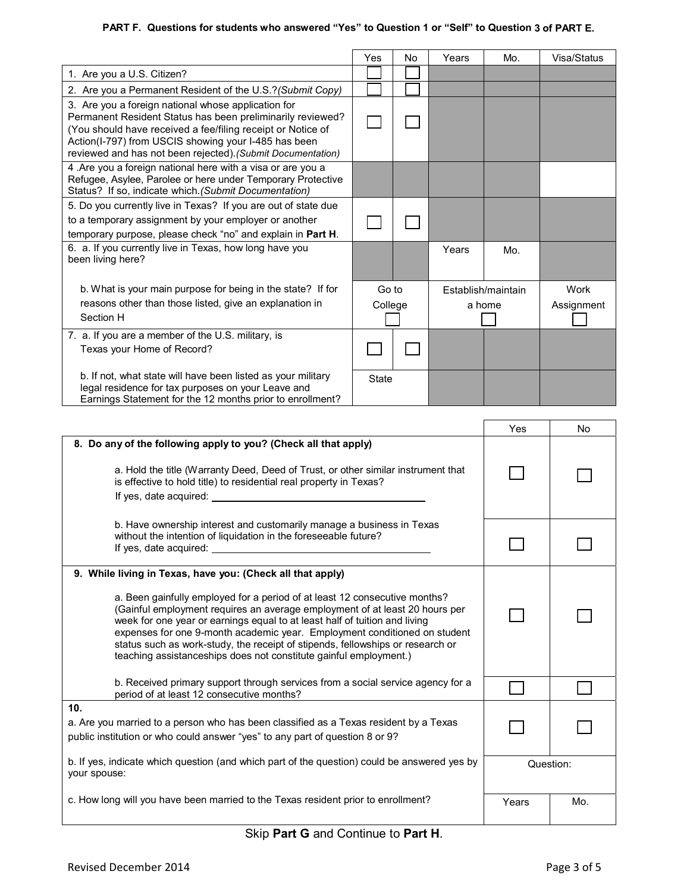### **PART F. Questions for students who answered "Yes" to Question 1 or "Self" to Question 3 of PART E.**

|                                                                                                                                                                                                                                                                                                         | Yes   | No      | Years | Mo.                | Visa/Status |
|---------------------------------------------------------------------------------------------------------------------------------------------------------------------------------------------------------------------------------------------------------------------------------------------------------|-------|---------|-------|--------------------|-------------|
| 1. Are you a U.S. Citizen?                                                                                                                                                                                                                                                                              |       |         |       |                    |             |
| 2. Are you a Permanent Resident of the U.S.? (Submit Copy)                                                                                                                                                                                                                                              |       |         |       |                    |             |
| 3. Are you a foreign national whose application for<br>Permanent Resident Status has been preliminarily reviewed?<br>(You should have received a fee/filing receipt or Notice of<br>Action(I-797) from USCIS showing your I-485 has been<br>reviewed and has not been rejected). (Submit Documentation) |       |         |       |                    |             |
| 4. Are you a foreign national here with a visa or are you a<br>Refugee, Asylee, Parolee or here under Temporary Protective<br>Status? If so, indicate which. (Submit Documentation)                                                                                                                     |       |         |       |                    |             |
| 5. Do you currently live in Texas? If you are out of state due                                                                                                                                                                                                                                          |       |         |       |                    |             |
| to a temporary assignment by your employer or another                                                                                                                                                                                                                                                   |       |         |       |                    |             |
| temporary purpose, please check "no" and explain in Part H.                                                                                                                                                                                                                                             |       |         |       |                    |             |
| 6. a. If you currently live in Texas, how long have you<br>been living here?                                                                                                                                                                                                                            |       |         | Years | Mo.                |             |
| b. What is your main purpose for being in the state? If for                                                                                                                                                                                                                                             | Go to |         |       | Establish/maintain | Work        |
| reasons other than those listed, give an explanation in<br>Section H                                                                                                                                                                                                                                    |       | College |       | a home             | Assignment  |
| 7. a. If you are a member of the U.S. military, is<br>Texas your Home of Record?                                                                                                                                                                                                                        |       |         |       |                    |             |
| b. If not, what state will have been listed as your military<br>legal residence for tax purposes on your Leave and<br>Earnings Statement for the 12 months prior to enrollment?                                                                                                                         | State |         |       |                    |             |

|                                                                                                                                                                                                                                                                                                                                                                                                                                                                                                                                           | Yes       | <b>No</b> |
|-------------------------------------------------------------------------------------------------------------------------------------------------------------------------------------------------------------------------------------------------------------------------------------------------------------------------------------------------------------------------------------------------------------------------------------------------------------------------------------------------------------------------------------------|-----------|-----------|
| 8. Do any of the following apply to you? (Check all that apply)<br>a. Hold the title (Warranty Deed, Deed of Trust, or other similar instrument that<br>is effective to hold title) to residential real property in Texas?<br>If yes, date acquired: If yes, date acquired:                                                                                                                                                                                                                                                               |           |           |
| b. Have ownership interest and customarily manage a business in Texas<br>without the intention of liquidation in the foreseeable future?<br>If yes, date acquired: University of the set of the set of the set of the set of the set of the set of the set of the set of the set of the set of the set of the set of the set of the set of the set of the set of the set o                                                                                                                                                                |           |           |
| 9. While living in Texas, have you: (Check all that apply)<br>a. Been gainfully employed for a period of at least 12 consecutive months?<br>(Gainful employment requires an average employment of at least 20 hours per<br>week for one year or earnings equal to at least half of tuition and living<br>expenses for one 9-month academic year. Employment conditioned on student<br>status such as work-study, the receipt of stipends, fellowships or research or<br>teaching assistanceships does not constitute gainful employment.) |           |           |
| b. Received primary support through services from a social service agency for a<br>period of at least 12 consecutive months?                                                                                                                                                                                                                                                                                                                                                                                                              |           |           |
| 10.<br>a. Are you married to a person who has been classified as a Texas resident by a Texas<br>public institution or who could answer "yes" to any part of question 8 or 9?                                                                                                                                                                                                                                                                                                                                                              |           |           |
| b. If yes, indicate which question (and which part of the question) could be answered yes by<br>your spouse:                                                                                                                                                                                                                                                                                                                                                                                                                              | Question: |           |
| c. How long will you have been married to the Texas resident prior to enrollment?                                                                                                                                                                                                                                                                                                                                                                                                                                                         | Years     | Mo.       |

## Skip **Part G** and Continue to **Part H**.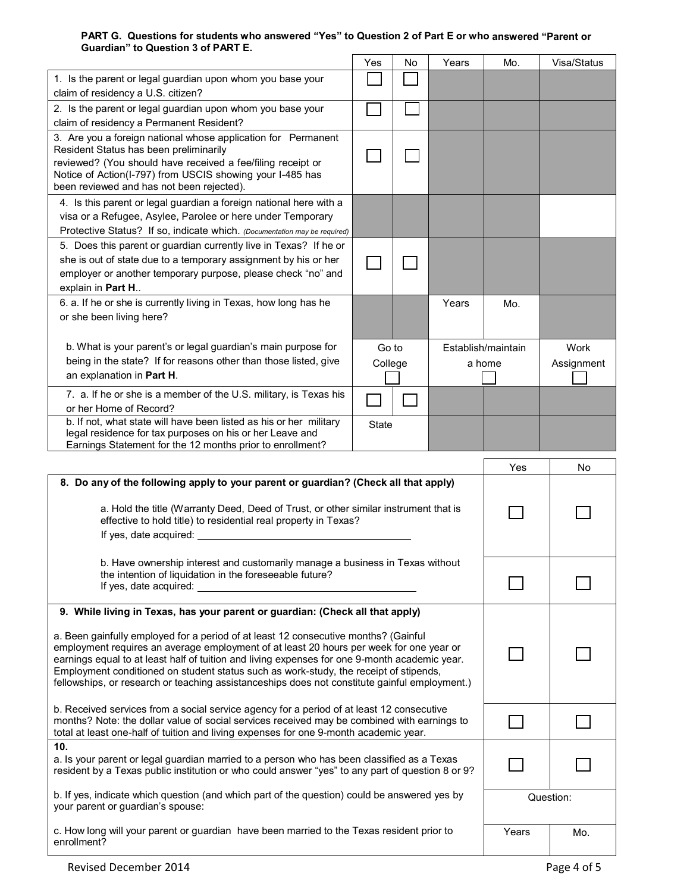#### **PART G. Questions for students who answered "Yes" to Question 2 of Part E or who answered "Parent or Guardian" to Question 3 of PART E.**   $\blacksquare$  $\mathbf{\mathsf{r}}$  $\overline{\phantom{a}}$  $\blacksquare$

|                                                                                                                                                                                                                                                                                                                                                                                                                                                                           | Yes              | No | Years | Mo.                          | Visa/Status        |
|---------------------------------------------------------------------------------------------------------------------------------------------------------------------------------------------------------------------------------------------------------------------------------------------------------------------------------------------------------------------------------------------------------------------------------------------------------------------------|------------------|----|-------|------------------------------|--------------------|
| 1. Is the parent or legal guardian upon whom you base your<br>claim of residency a U.S. citizen?                                                                                                                                                                                                                                                                                                                                                                          |                  |    |       |                              |                    |
| 2. Is the parent or legal guardian upon whom you base your                                                                                                                                                                                                                                                                                                                                                                                                                |                  |    |       |                              |                    |
| claim of residency a Permanent Resident?<br>3. Are you a foreign national whose application for Permanent<br>Resident Status has been preliminarily<br>reviewed? (You should have received a fee/filing receipt or<br>Notice of Action(I-797) from USCIS showing your I-485 has<br>been reviewed and has not been rejected).                                                                                                                                              |                  |    |       |                              |                    |
| 4. Is this parent or legal guardian a foreign national here with a<br>visa or a Refugee, Asylee, Parolee or here under Temporary<br>Protective Status? If so, indicate which. (Documentation may be required)                                                                                                                                                                                                                                                             |                  |    |       |                              |                    |
| 5. Does this parent or guardian currently live in Texas? If he or<br>she is out of state due to a temporary assignment by his or her<br>employer or another temporary purpose, please check "no" and<br>explain in Part H                                                                                                                                                                                                                                                 |                  |    |       |                              |                    |
| 6. a. If he or she is currently living in Texas, how long has he<br>or she been living here?                                                                                                                                                                                                                                                                                                                                                                              |                  |    | Years | Mo.                          |                    |
| b. What is your parent's or legal guardian's main purpose for<br>being in the state? If for reasons other than those listed, give<br>an explanation in Part H.                                                                                                                                                                                                                                                                                                            | Go to<br>College |    |       | Establish/maintain<br>a home | Work<br>Assignment |
| 7. a. If he or she is a member of the U.S. military, is Texas his<br>or her Home of Record?                                                                                                                                                                                                                                                                                                                                                                               |                  |    |       |                              |                    |
| b. If not, what state will have been listed as his or her military<br>legal residence for tax purposes on his or her Leave and                                                                                                                                                                                                                                                                                                                                            | <b>State</b>     |    |       |                              |                    |
| Earnings Statement for the 12 months prior to enrollment?                                                                                                                                                                                                                                                                                                                                                                                                                 |                  |    |       |                              |                    |
|                                                                                                                                                                                                                                                                                                                                                                                                                                                                           |                  |    |       |                              |                    |
| 8. Do any of the following apply to your parent or guardian? (Check all that apply)                                                                                                                                                                                                                                                                                                                                                                                       |                  |    |       | Yes                          | No                 |
| a. Hold the title (Warranty Deed, Deed of Trust, or other similar instrument that is<br>effective to hold title) to residential real property in Texas?                                                                                                                                                                                                                                                                                                                   |                  |    |       |                              |                    |
|                                                                                                                                                                                                                                                                                                                                                                                                                                                                           |                  |    |       |                              |                    |
| b. Have ownership interest and customarily manage a business in Texas without<br>the intention of liquidation in the foreseeable future?<br>If yes, date acquired:                                                                                                                                                                                                                                                                                                        |                  |    |       |                              |                    |
| 9. While living in Texas, has your parent or guardian: (Check all that apply)                                                                                                                                                                                                                                                                                                                                                                                             |                  |    |       |                              |                    |
| a. Been gainfully employed for a period of at least 12 consecutive months? (Gainful<br>employment requires an average employment of at least 20 hours per week for one year or<br>earnings equal to at least half of tuition and living expenses for one 9-month academic year.<br>Employment conditioned on student status such as work-study, the receipt of stipends,<br>fellowships, or research or teaching assistanceships does not constitute gainful employment.) |                  |    |       |                              |                    |
| b. Received services from a social service agency for a period of at least 12 consecutive<br>months? Note: the dollar value of social services received may be combined with earnings to<br>total at least one-half of tuition and living expenses for one 9-month academic year.                                                                                                                                                                                         |                  |    |       |                              |                    |
| 10.<br>a. Is your parent or legal guardian married to a person who has been classified as a Texas<br>resident by a Texas public institution or who could answer "yes" to any part of question 8 or 9?                                                                                                                                                                                                                                                                     |                  |    |       |                              |                    |
| b. If yes, indicate which question (and which part of the question) could be answered yes by<br>your parent or guardian's spouse:                                                                                                                                                                                                                                                                                                                                         |                  |    |       |                              | Question:          |